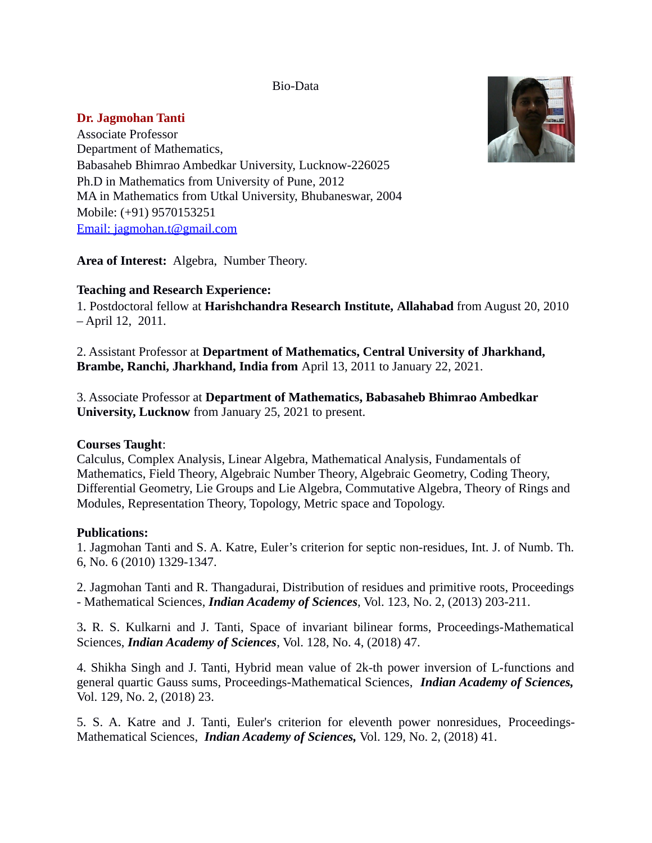Bio-Data

# **Dr. Jagmohan Tanti**

Associate Professor Department of Mathematics, Babasaheb Bhimrao Ambedkar University, Lucknow-226025 Ph.D in Mathematics from University of Pune, 2012 MA in Mathematics from Utkal University, Bhubaneswar, 2004 Mobile: (+91) 9570153251 [Email: jagmohan.t@gmail.com](mailto:Email:jagmohan.t@gmail.com)

**Area of Interest:** Algebra, Number Theory.

# **Teaching and Research Experience:**

1. Postdoctoral fellow at **Harishchandra Research Institute, Allahabad** from August 20, 2010 – April 12, 2011.

2. Assistant Professor at **Department of Mathematics, Central University of Jharkhand, Brambe, Ranchi, Jharkhand, India from** April 13, 2011 to January 22, 2021.

3. Associate Professor at **Department of Mathematics, Babasaheb Bhimrao Ambedkar University, Lucknow** from January 25, 2021 to present.

## **Courses Taught**:

Calculus, Complex Analysis, Linear Algebra, Mathematical Analysis, Fundamentals of Mathematics, Field Theory, Algebraic Number Theory, Algebraic Geometry, Coding Theory, Differential Geometry, Lie Groups and Lie Algebra, Commutative Algebra, Theory of Rings and Modules, Representation Theory, Topology, Metric space and Topology.

## **Publications:**

1. Jagmohan Tanti and S. A. Katre, Euler's criterion for septic non-residues, Int. J. of Numb. Th. 6, No. 6 (2010) 1329-1347.

2. Jagmohan Tanti and R. Thangadurai, Distribution of residues and primitive roots, Proceedings - Mathematical Sciences, *Indian Academy of Sciences*, Vol. 123, No. 2, (2013) 203-211.

3**.** R. S. Kulkarni and J. Tanti, Space of invariant bilinear forms, Proceedings-Mathematical Sciences, *Indian Academy of Sciences*, Vol. 128, No. 4, (2018) 47.

4. Shikha Singh and J. Tanti, Hybrid mean value of 2k-th power inversion of L-functions and general quartic Gauss sums, Proceedings-Mathematical Sciences, *Indian Academy of Sciences,* Vol. 129, No. 2, (2018) 23.

5. S. A. Katre and J. Tanti, Euler's criterion for eleventh power nonresidues, Proceedings-Mathematical Sciences, *Indian Academy of Sciences,* Vol. 129, No. 2, (2018) 41.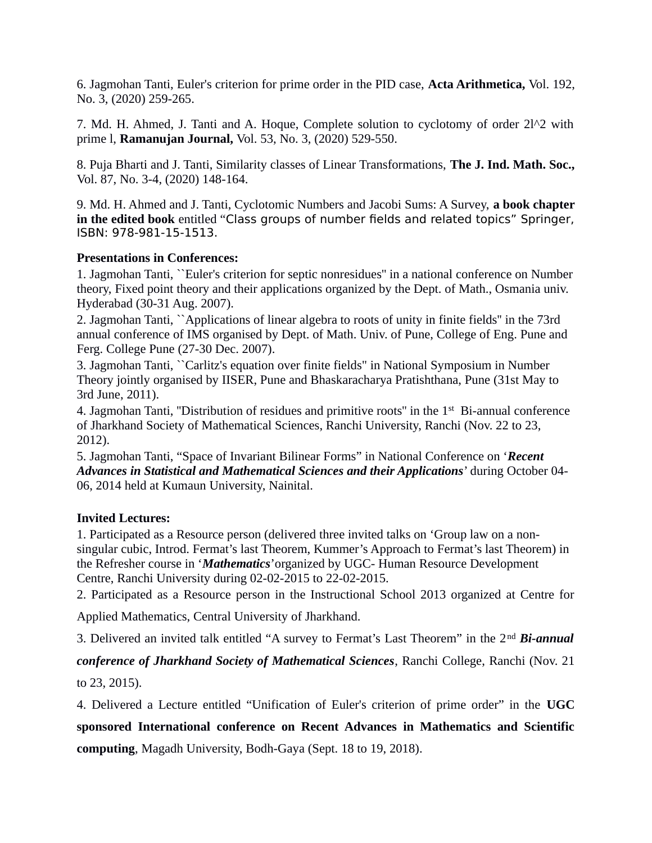6. Jagmohan Tanti, Euler's criterion for prime order in the PID case, **Acta Arithmetica,** Vol. 192, No. 3, (2020) 259-265.

7. Md. H. Ahmed, J. Tanti and A. Hoque, Complete solution to cyclotomy of order 2l^2 with prime l, **Ramanujan Journal,** Vol. 53, No. 3, (2020) 529-550.

8. Puja Bharti and J. Tanti, Similarity classes of Linear Transformations, **The J. Ind. Math. Soc.,** Vol. 87, No. 3-4, (2020) 148-164.

9. Md. H. Ahmed and J. Tanti, Cyclotomic Numbers and Jacobi Sums: A Survey, **a book chapter in the edited book** entitled "Class groups of number fields and related topics" Springer, ISBN: 978-981-15-1513.

### **Presentations in Conferences:**

1. Jagmohan Tanti, ``Euler's criterion for septic nonresidues'' in a national conference on Number theory, Fixed point theory and their applications organized by the Dept. of Math., Osmania univ. Hyderabad (30-31 Aug. 2007).

2. Jagmohan Tanti, ``Applications of linear algebra to roots of unity in finite fields'' in the 73rd annual conference of IMS organised by Dept. of Math. Univ. of Pune, College of Eng. Pune and Ferg. College Pune (27-30 Dec. 2007).

3. Jagmohan Tanti, ``Carlitz's equation over finite fields" in National Symposium in Number Theory jointly organised by IISER, Pune and Bhaskaracharya Pratishthana, Pune (31st May to 3rd June, 2011).

4. Jagmohan Tanti, "Distribution of residues and primitive roots" in the 1<sup>st</sup> Bi-annual conference of Jharkhand Society of Mathematical Sciences, Ranchi University, Ranchi (Nov. 22 to 23, 2012).

5. Jagmohan Tanti, "Space of Invariant Bilinear Forms" in National Conference on '*Recent Advances in Statistical and Mathematical Sciences and their Applications*' during October 04- 06, 2014 held at Kumaun University, Nainital.

## **Invited Lectures:**

1. Participated as a Resource person (delivered three invited talks on 'Group law on a nonsingular cubic, Introd. Fermat's last Theorem, Kummer's Approach to Fermat's last Theorem) in the Refresher course in '*Mathematics*'organized by UGC- Human Resource Development Centre, Ranchi University during 02-02-2015 to 22-02-2015.

2. Participated as a Resource person in the Instructional School 2013 organized at Centre for

Applied Mathematics, Central University of Jharkhand.

3. Delivered an invited talk entitled "A survey to Fermat's Last Theorem" in the 2nd *Bi-annual*

*conference of Jharkhand Society of Mathematical Sciences*, Ranchi College, Ranchi (Nov. 21

to 23, 2015).

4. Delivered a Lecture entitled "Unification of Euler's criterion of prime order" in the **UGC sponsored International conference on Recent Advances in Mathematics and Scientific computing**, Magadh University, Bodh-Gaya (Sept. 18 to 19, 2018).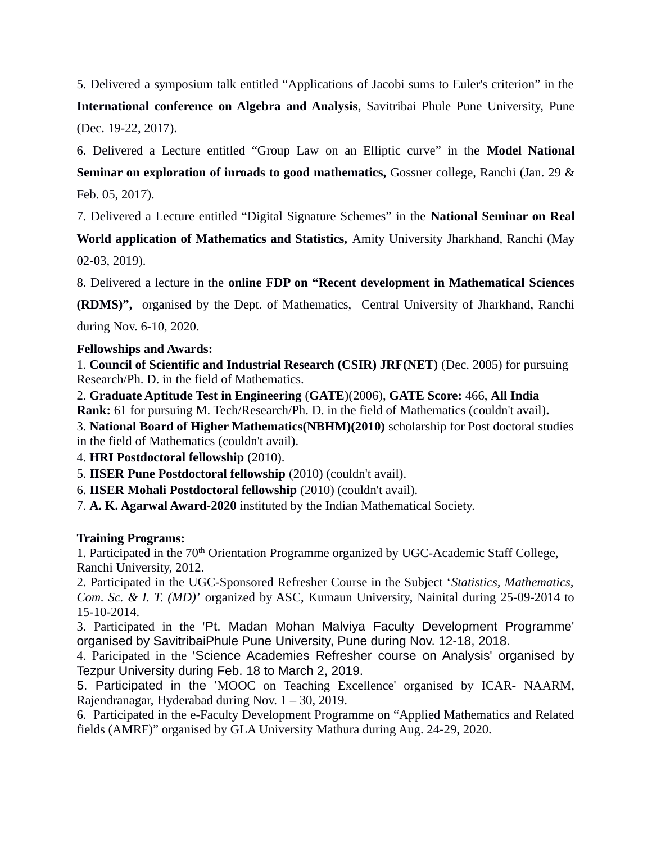5. Delivered a symposium talk entitled "Applications of Jacobi sums to Euler's criterion" in the **International conference on Algebra and Analysis**, Savitribai Phule Pune University, Pune (Dec. 19-22, 2017).

6. Delivered a Lecture entitled "Group Law on an Elliptic curve" in the **Model National Seminar on exploration of inroads to good mathematics,** Gossner college, Ranchi (Jan. 29 & Feb. 05, 2017).

7. Delivered a Lecture entitled "Digital Signature Schemes" in the **National Seminar on Real**

**World application of Mathematics and Statistics,** Amity University Jharkhand, Ranchi (May 02-03, 2019).

8. Delivered a lecture in the **online FDP on "Recent development in Mathematical Sciences**

**(RDMS)",** organised by the Dept. of Mathematics, Central University of Jharkhand, Ranchi during Nov. 6-10, 2020.

**Fellowships and Awards:**

1. **Council of Scientific and Industrial Research (CSIR) JRF(NET)** (Dec. 2005) for pursuing Research/Ph. D. in the field of Mathematics.

2. **Graduate Aptitude Test in Engineering** (**GATE**)(2006), **GATE Score:** 466, **All India Rank:** 61 for pursuing M. Tech/Research/Ph. D. in the field of Mathematics (couldn't avail)**.**

3. **National Board of Higher Mathematics(NBHM)(2010)** scholarship for Post doctoral studies in the field of Mathematics (couldn't avail).

4. **HRI Postdoctoral fellowship** (2010).

5. **IISER Pune Postdoctoral fellowship** (2010) (couldn't avail).

6. **IISER Mohali Postdoctoral fellowship** (2010) (couldn't avail).

7. **A. K. Agarwal Award-2020** instituted by the Indian Mathematical Society.

## **Training Programs:**

1. Participated in the 70<sup>th</sup> Orientation Programme organized by UGC-Academic Staff College, Ranchi University, 2012.

2. Participated in the UGC-Sponsored Refresher Course in the Subject '*Statistics, Mathematics, Com. Sc. & I. T. (MD)*' organized by ASC, Kumaun University, Nainital during 25-09-2014 to 15-10-2014.

3. Participated in the 'Pt. Madan Mohan Malviya Faculty Development Programme' organised by SavitribaiPhule Pune University, Pune during Nov. 12-18, 2018.

4. Paricipated in the 'Science Academies Refresher course on Analysis' organised by Tezpur University during Feb. 18 to March 2, 2019.

5. Participated in the 'MOOC on Teaching Excellence' organised by ICAR- NAARM, Rajendranagar, Hyderabad during Nov. 1 – 30, 2019.

6. Participated in the e-Faculty Development Programme on "Applied Mathematics and Related fields (AMRF)" organised by GLA University Mathura during Aug. 24-29, 2020.